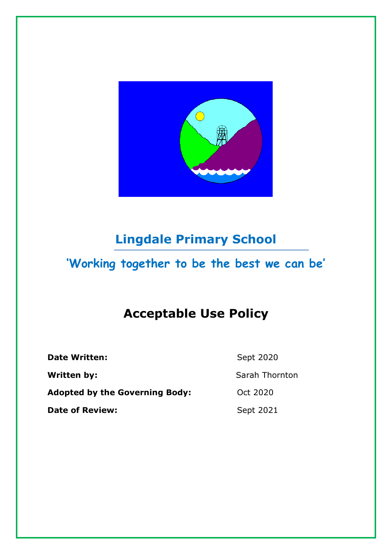

# **Lingdale Primary School**

# **'Working together to be the best we can be'**

# **Acceptable Use Policy**

**Date Written:** Sept 2020 **Written by:** Sarah Thornton Adopted by the Governing Body: 0ct 2020

**Date of Review:** Sept 2021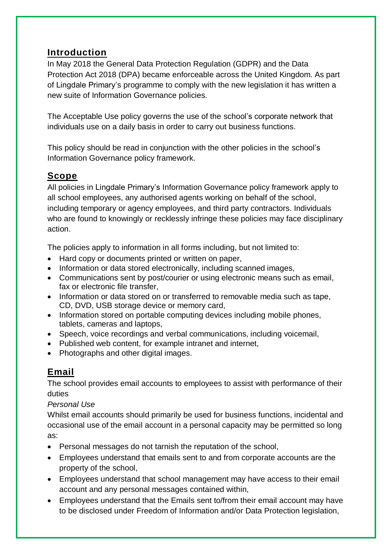# **Introduction**

In May 2018 the General Data Protection Regulation (GDPR) and the Data Protection Act 2018 (DPA) became enforceable across the United Kingdom. As part of Lingdale Primary's programme to comply with the new legislation it has written a new suite of Information Governance policies.

The Acceptable Use policy governs the use of the school's corporate network that individuals use on a daily basis in order to carry out business functions.

This policy should be read in conjunction with the other policies in the school's Information Governance policy framework.

# **Scope**

All policies in Lingdale Primary's Information Governance policy framework apply to all school employees, any authorised agents working on behalf of the school, including temporary or agency employees, and third party contractors. Individuals who are found to knowingly or recklessly infringe these policies may face disciplinary action.

The policies apply to information in all forms including, but not limited to:

- Hard copy or documents printed or written on paper,
- Information or data stored electronically, including scanned images,
- Communications sent by post/courier or using electronic means such as email, fax or electronic file transfer,
- Information or data stored on or transferred to removable media such as tape, CD, DVD, USB storage device or memory card,
- Information stored on portable computing devices including mobile phones, tablets, cameras and laptops,
- Speech, voice recordings and verbal communications, including voicemail,
- Published web content, for example intranet and internet,
- Photographs and other digital images.

# **Email**

The school provides email accounts to employees to assist with performance of their duties

*Personal Use*

Whilst email accounts should primarily be used for business functions, incidental and occasional use of the email account in a personal capacity may be permitted so long as:

- Personal messages do not tarnish the reputation of the school,
- Employees understand that emails sent to and from corporate accounts are the property of the school,
- Employees understand that school management may have access to their email account and any personal messages contained within,
- Employees understand that the Emails sent to/from their email account may have to be disclosed under Freedom of Information and/or Data Protection legislation,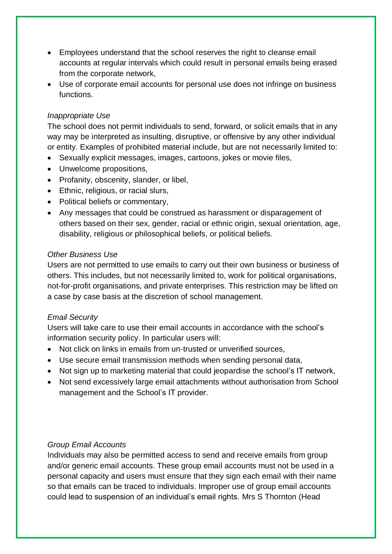- Employees understand that the school reserves the right to cleanse email accounts at regular intervals which could result in personal emails being erased from the corporate network,
- Use of corporate email accounts for personal use does not infringe on business functions.

## *Inappropriate Use*

The school does not permit individuals to send, forward, or solicit emails that in any way may be interpreted as insulting, disruptive, or offensive by any other individual or entity. Examples of prohibited material include, but are not necessarily limited to:

- Sexually explicit messages, images, cartoons, jokes or movie files,
- Unwelcome propositions,
- Profanity, obscenity, slander, or libel,
- Ethnic, religious, or racial slurs,
- Political beliefs or commentary,
- Any messages that could be construed as harassment or disparagement of others based on their sex, gender, racial or ethnic origin, sexual orientation, age, disability, religious or philosophical beliefs, or political beliefs.

#### *Other Business Use*

Users are not permitted to use emails to carry out their own business or business of others. This includes, but not necessarily limited to, work for political organisations, not-for-profit organisations, and private enterprises. This restriction may be lifted on a case by case basis at the discretion of school management.

#### *Email Security*

Users will take care to use their email accounts in accordance with the school's information security policy. In particular users will:

- Not click on links in emails from un-trusted or unverified sources,
- Use secure email transmission methods when sending personal data,
- Not sign up to marketing material that could jeopardise the school's IT network,
- Not send excessively large email attachments without authorisation from School management and the School's IT provider.

#### *Group Email Accounts*

Individuals may also be permitted access to send and receive emails from group and/or generic email accounts. These group email accounts must not be used in a personal capacity and users must ensure that they sign each email with their name so that emails can be traced to individuals. Improper use of group email accounts could lead to suspension of an individual's email rights. Mrs S Thornton (Head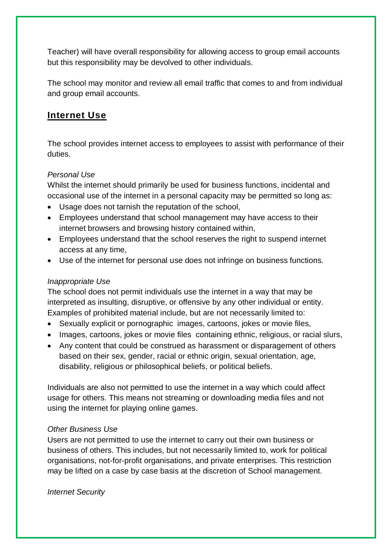Teacher) will have overall responsibility for allowing access to group email accounts but this responsibility may be devolved to other individuals.

The school may monitor and review all email traffic that comes to and from individual and group email accounts.

# **Internet Use**

The school provides internet access to employees to assist with performance of their duties.

## *Personal Use*

Whilst the internet should primarily be used for business functions, incidental and occasional use of the internet in a personal capacity may be permitted so long as:

- Usage does not tarnish the reputation of the school,
- Employees understand that school management may have access to their internet browsers and browsing history contained within,
- Employees understand that the school reserves the right to suspend internet access at any time,
- Use of the internet for personal use does not infringe on business functions.

## *Inappropriate Use*

The school does not permit individuals use the internet in a way that may be interpreted as insulting, disruptive, or offensive by any other individual or entity. Examples of prohibited material include, but are not necessarily limited to:

- Sexually explicit or pornographic images, cartoons, jokes or movie files,
- Images, cartoons, jokes or movie files containing ethnic, religious, or racial slurs,
- Any content that could be construed as harassment or disparagement of others based on their sex, gender, racial or ethnic origin, sexual orientation, age, disability, religious or philosophical beliefs, or political beliefs.

Individuals are also not permitted to use the internet in a way which could affect usage for others. This means not streaming or downloading media files and not using the internet for playing online games.

## *Other Business Use*

Users are not permitted to use the internet to carry out their own business or business of others. This includes, but not necessarily limited to, work for political organisations, not-for-profit organisations, and private enterprises. This restriction may be lifted on a case by case basis at the discretion of School management.

*Internet Security*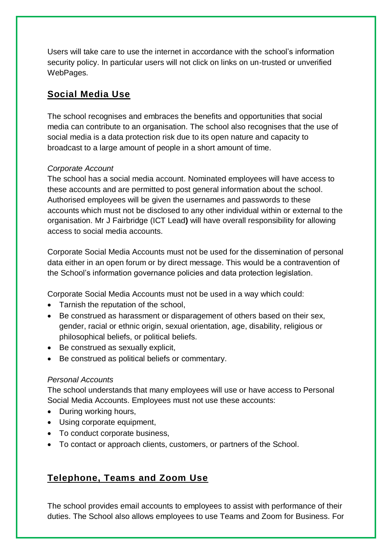Users will take care to use the internet in accordance with the school's information security policy. In particular users will not click on links on un-trusted or unverified WebPages.

# **Social Media Use**

The school recognises and embraces the benefits and opportunities that social media can contribute to an organisation. The school also recognises that the use of social media is a data protection risk due to its open nature and capacity to broadcast to a large amount of people in a short amount of time.

## *Corporate Account*

The school has a social media account. Nominated employees will have access to these accounts and are permitted to post general information about the school. Authorised employees will be given the usernames and passwords to these accounts which must not be disclosed to any other individual within or external to the organisation. Mr J Fairbridge (ICT Lead**)** will have overall responsibility for allowing access to social media accounts.

Corporate Social Media Accounts must not be used for the dissemination of personal data either in an open forum or by direct message. This would be a contravention of the School's information governance policies and data protection legislation.

Corporate Social Media Accounts must not be used in a way which could:

- Tarnish the reputation of the school,
- Be construed as harassment or disparagement of others based on their sex, gender, racial or ethnic origin, sexual orientation, age, disability, religious or philosophical beliefs, or political beliefs.
- Be construed as sexually explicit,
- Be construed as political beliefs or commentary.

## *Personal Accounts*

The school understands that many employees will use or have access to Personal Social Media Accounts. Employees must not use these accounts:

- During working hours,
- Using corporate equipment,
- To conduct corporate business,
- To contact or approach clients, customers, or partners of the School.

# **Telephone, Teams and Zoom Use**

The school provides email accounts to employees to assist with performance of their duties. The School also allows employees to use Teams and Zoom for Business. For